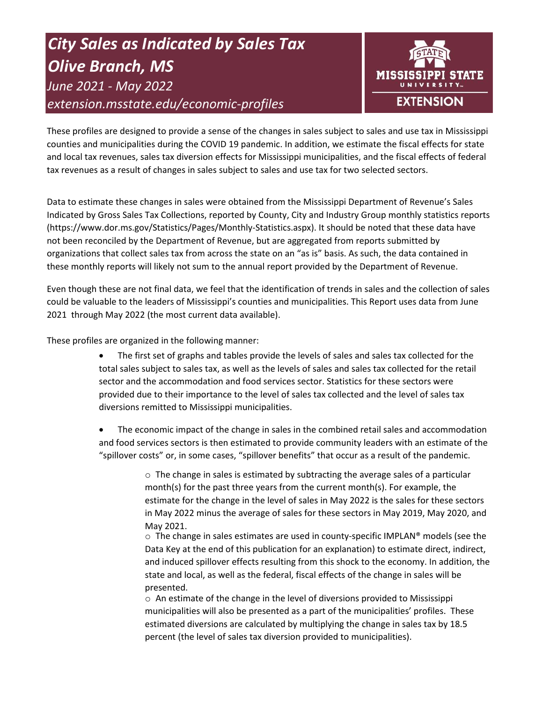# *City Sales as Indicated by Sales Tax Olive Branch, MS June 2021 - May 2022 extension.msstate.edu/economic-profiles*



These profiles are designed to provide a sense of the changes in sales subject to sales and use tax in Mississippi counties and municipalities during the COVID 19 pandemic. In addition, we estimate the fiscal effects for state and local tax revenues, sales tax diversion effects for Mississippi municipalities, and the fiscal effects of federal tax revenues as a result of changes in sales subject to sales and use tax for two selected sectors.

Data to estimate these changes in sales were obtained from the Mississippi Department of Revenue's Sales Indicated by Gross Sales Tax Collections, reported by County, City and Industry Group monthly statistics reports (https://www.dor.ms.gov/Statistics/Pages/Monthly-Statistics.aspx). It should be noted that these data have not been reconciled by the Department of Revenue, but are aggregated from reports submitted by organizations that collect sales tax from across the state on an "as is" basis. As such, the data contained in these monthly reports will likely not sum to the annual report provided by the Department of Revenue.

Even though these are not final data, we feel that the identification of trends in sales and the collection of sales could be valuable to the leaders of Mississippi's counties and municipalities. This Report uses data from June 2021 through May 2022 (the most current data available).

These profiles are organized in the following manner:

- The first set of graphs and tables provide the levels of sales and sales tax collected for the total sales subject to sales tax, as well as the levels of sales and sales tax collected for the retail sector and the accommodation and food services sector. Statistics for these sectors were provided due to their importance to the level of sales tax collected and the level of sales tax diversions remitted to Mississippi municipalities.
- The economic impact of the change in sales in the combined retail sales and accommodation and food services sectors is then estimated to provide community leaders with an estimate of the "spillover costs" or, in some cases, "spillover benefits" that occur as a result of the pandemic.

 $\circ$  The change in sales is estimated by subtracting the average sales of a particular month(s) for the past three years from the current month(s). For example, the estimate for the change in the level of sales in May 2022 is the sales for these sectors in May 2022 minus the average of sales for these sectors in May 2019, May 2020, and May 2021.

 $\circ$  The change in sales estimates are used in county-specific IMPLAN® models (see the Data Key at the end of this publication for an explanation) to estimate direct, indirect, and induced spillover effects resulting from this shock to the economy. In addition, the state and local, as well as the federal, fiscal effects of the change in sales will be presented.

 $\circ$  An estimate of the change in the level of diversions provided to Mississippi municipalities will also be presented as a part of the municipalities' profiles. These estimated diversions are calculated by multiplying the change in sales tax by 18.5 percent (the level of sales tax diversion provided to municipalities).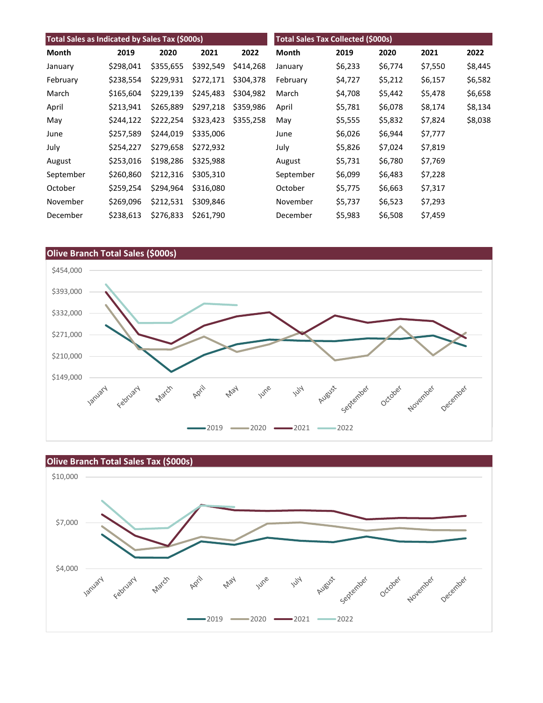| Total Sales as Indicated by Sales Tax (\$000s) |           |           |           | <b>Total Sales Tax Collected (\$000s)</b> |           |         |         |         |         |
|------------------------------------------------|-----------|-----------|-----------|-------------------------------------------|-----------|---------|---------|---------|---------|
| Month                                          | 2019      | 2020      | 2021      | 2022                                      | Month     | 2019    | 2020    | 2021    | 2022    |
| January                                        | \$298,041 | \$355,655 | \$392,549 | \$414,268                                 | January   | \$6,233 | \$6,774 | \$7,550 | \$8,445 |
| February                                       | \$238,554 | \$229,931 | \$272,171 | \$304,378                                 | February  | \$4,727 | \$5,212 | \$6,157 | \$6,582 |
| March                                          | \$165,604 | \$229,139 | \$245,483 | \$304.982                                 | March     | \$4,708 | \$5,442 | \$5,478 | \$6,658 |
| April                                          | \$213,941 | \$265,889 | \$297,218 | \$359,986                                 | April     | \$5,781 | \$6,078 | \$8,174 | \$8,134 |
| May                                            | \$244,122 | \$222,254 | \$323,423 | \$355,258                                 | May       | \$5,555 | \$5,832 | \$7,824 | \$8,038 |
| June                                           | \$257,589 | \$244,019 | \$335,006 |                                           | June      | \$6,026 | \$6,944 | \$7,777 |         |
| July                                           | \$254,227 | \$279,658 | \$272,932 |                                           | July      | \$5,826 | \$7,024 | \$7,819 |         |
| August                                         | \$253,016 | \$198,286 | \$325,988 |                                           | August    | \$5,731 | \$6,780 | \$7,769 |         |
| September                                      | \$260,860 | \$212,316 | \$305,310 |                                           | September | \$6,099 | \$6,483 | \$7,228 |         |
| October                                        | \$259,254 | \$294,964 | \$316,080 |                                           | October   | \$5,775 | \$6,663 | \$7,317 |         |
| November                                       | \$269,096 | \$212,531 | \$309,846 |                                           | November  | \$5,737 | \$6,523 | \$7,293 |         |
| December                                       | \$238,613 | \$276,833 | \$261,790 |                                           | December  | \$5,983 | \$6,508 | \$7,459 |         |



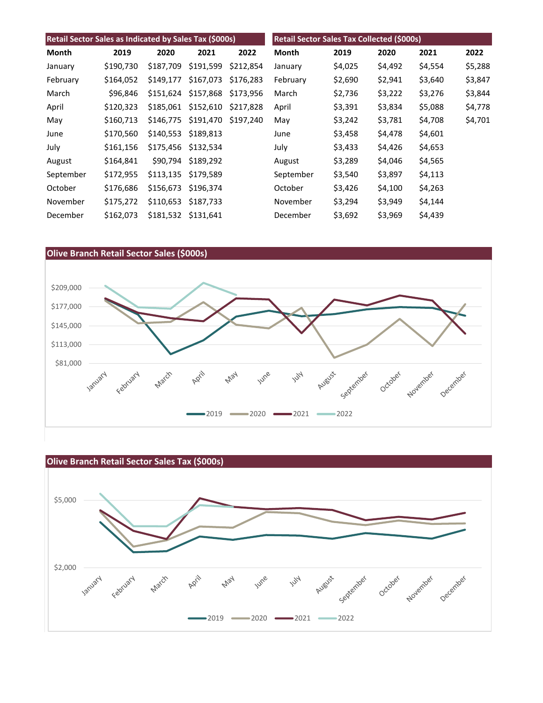| Retail Sector Sales as Indicated by Sales Tax (\$000s) |           |           |           | <b>Retail Sector Sales Tax Collected (\$000s)</b> |           |         |         |         |         |
|--------------------------------------------------------|-----------|-----------|-----------|---------------------------------------------------|-----------|---------|---------|---------|---------|
| Month                                                  | 2019      | 2020      | 2021      | 2022                                              | Month     | 2019    | 2020    | 2021    | 2022    |
| January                                                | \$190,730 | \$187,709 | \$191,599 | \$212,854                                         | January   | \$4,025 | \$4,492 | \$4,554 | \$5,288 |
| February                                               | \$164,052 | \$149,177 | \$167,073 | \$176,283                                         | February  | \$2,690 | \$2,941 | \$3,640 | \$3,847 |
| March                                                  | \$96,846  | \$151.624 | \$157,868 | \$173.956                                         | March     | \$2,736 | \$3,222 | \$3,276 | \$3,844 |
| April                                                  | \$120,323 | \$185,061 | \$152,610 | \$217,828                                         | April     | \$3,391 | \$3,834 | \$5,088 | \$4,778 |
| May                                                    | \$160,713 | \$146,775 | \$191,470 | \$197.240                                         | May       | \$3,242 | \$3,781 | \$4,708 | \$4,701 |
| June                                                   | \$170,560 | \$140,553 | \$189,813 |                                                   | June      | \$3,458 | \$4,478 | \$4,601 |         |
| July                                                   | \$161,156 | \$175,456 | \$132,534 |                                                   | July      | \$3,433 | \$4,426 | \$4,653 |         |
| August                                                 | \$164,841 | \$90,794  | \$189,292 |                                                   | August    | \$3,289 | \$4,046 | \$4,565 |         |
| September                                              | \$172,955 | \$113,135 | \$179,589 |                                                   | September | \$3,540 | \$3,897 | \$4,113 |         |
| October                                                | \$176,686 | \$156,673 | \$196,374 |                                                   | October   | \$3,426 | \$4,100 | \$4,263 |         |
| November                                               | \$175,272 | \$110,653 | \$187,733 |                                                   | November  | \$3,294 | \$3,949 | \$4,144 |         |
| December                                               | \$162,073 | \$181,532 | \$131,641 |                                                   | December  | \$3,692 | \$3,969 | \$4,439 |         |



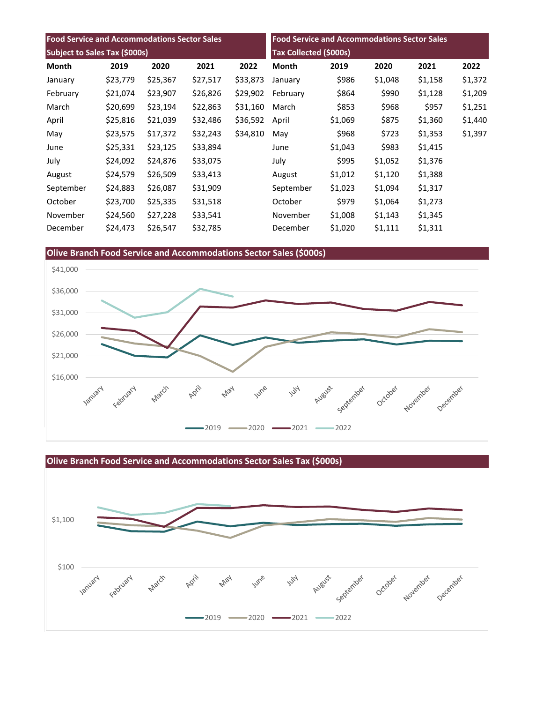| <b>Food Service and Accommodations Sector Sales</b><br>Subject to Sales Tax (\$000s) |          |          |          | <b>Food Service and Accommodations Sector Sales</b> |              |         |         |         |         |
|--------------------------------------------------------------------------------------|----------|----------|----------|-----------------------------------------------------|--------------|---------|---------|---------|---------|
|                                                                                      |          |          |          | Tax Collected (\$000s)                              |              |         |         |         |         |
| Month                                                                                | 2019     | 2020     | 2021     | 2022                                                | <b>Month</b> | 2019    | 2020    | 2021    | 2022    |
| January                                                                              | \$23,779 | \$25,367 | \$27,517 | \$33,873                                            | January      | \$986   | \$1,048 | \$1,158 | \$1,372 |
| February                                                                             | \$21,074 | \$23,907 | \$26,826 | \$29,902                                            | February     | \$864   | \$990   | \$1,128 | \$1,209 |
| March                                                                                | \$20,699 | \$23,194 | \$22,863 | \$31,160                                            | March        | \$853   | \$968   | \$957   | \$1,251 |
| April                                                                                | \$25,816 | \$21,039 | \$32,486 | \$36,592                                            | April        | \$1,069 | \$875   | \$1,360 | \$1,440 |
| May                                                                                  | \$23,575 | \$17,372 | \$32,243 | \$34,810                                            | May          | \$968   | \$723   | \$1,353 | \$1,397 |
| June                                                                                 | \$25,331 | \$23,125 | \$33,894 |                                                     | June         | \$1,043 | \$983   | \$1,415 |         |
| July                                                                                 | \$24,092 | \$24,876 | \$33,075 |                                                     | July         | \$995   | \$1,052 | \$1,376 |         |
| August                                                                               | \$24,579 | \$26,509 | \$33,413 |                                                     | August       | \$1,012 | \$1,120 | \$1,388 |         |
| September                                                                            | \$24,883 | \$26,087 | \$31,909 |                                                     | September    | \$1,023 | \$1,094 | \$1,317 |         |
| October                                                                              | \$23,700 | \$25,335 | \$31,518 |                                                     | October      | \$979   | \$1,064 | \$1,273 |         |
| November                                                                             | \$24,560 | \$27,228 | \$33,541 |                                                     | November     | \$1,008 | \$1,143 | \$1,345 |         |
| December                                                                             | \$24,473 | \$26,547 | \$32,785 |                                                     | December     | \$1,020 | \$1,111 | \$1,311 |         |





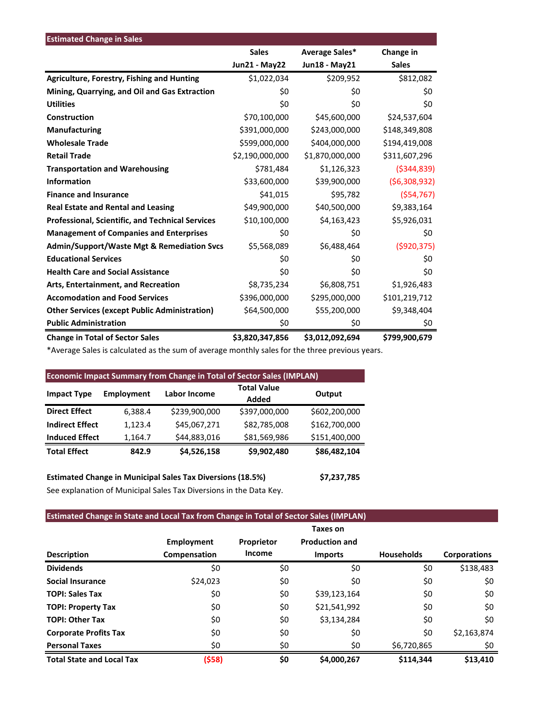| <b>Estimated Change in Sales</b>                        |                      |                 |               |
|---------------------------------------------------------|----------------------|-----------------|---------------|
|                                                         | <b>Sales</b>         | Average Sales*  | Change in     |
|                                                         | <b>Jun21 - May22</b> | Jun18 - May21   | <b>Sales</b>  |
| <b>Agriculture, Forestry, Fishing and Hunting</b>       | \$1,022,034          | \$209,952       | \$812,082     |
| Mining, Quarrying, and Oil and Gas Extraction           | \$0                  | \$0             | \$0           |
| <b>Utilities</b>                                        | \$0                  | \$0             | \$0           |
| Construction                                            | \$70,100,000         | \$45,600,000    | \$24,537,604  |
| <b>Manufacturing</b>                                    | \$391,000,000        | \$243,000,000   | \$148,349,808 |
| <b>Wholesale Trade</b>                                  | \$599,000,000        | \$404,000,000   | \$194,419,008 |
| <b>Retail Trade</b>                                     | \$2,190,000,000      | \$1,870,000,000 | \$311,607,296 |
| <b>Transportation and Warehousing</b>                   | \$781,484            | \$1,126,323     | ( \$344, 839) |
| <b>Information</b>                                      | \$33,600,000         | \$39,900,000    | (56,308,932)  |
| <b>Finance and Insurance</b>                            | \$41,015             | \$95,782        | (554, 767)    |
| <b>Real Estate and Rental and Leasing</b>               | \$49,900,000         | \$40,500,000    | \$9,383,164   |
| <b>Professional, Scientific, and Technical Services</b> | \$10,100,000         | \$4,163,423     | \$5,926,031   |
| <b>Management of Companies and Enterprises</b>          | \$0                  | \$0             | \$0           |
| <b>Admin/Support/Waste Mgt &amp; Remediation Svcs</b>   | \$5,568,089          | \$6,488,464     | ( \$920, 375) |
| <b>Educational Services</b>                             | \$0                  | \$0             | \$0           |
| <b>Health Care and Social Assistance</b>                | \$0                  | \$0             | \$0           |
| Arts, Entertainment, and Recreation                     | \$8,735,234          | \$6,808,751     | \$1,926,483   |
| <b>Accomodation and Food Services</b>                   | \$396,000,000        | \$295,000,000   | \$101,219,712 |
| <b>Other Services (except Public Administration)</b>    | \$64,500,000         | \$55,200,000    | \$9,348,404   |
| <b>Public Administration</b>                            | \$0                  | \$0             | \$0           |
| <b>Change in Total of Sector Sales</b>                  | \$3,820,347,856      | \$3,012,092,694 | \$799,900,679 |

\*Average Sales is calculated as the sum of average monthly sales for the three previous years.

| <b>Economic Impact Summary from Change in Total of Sector Sales (IMPLAN)</b> |                   |                     |                             |               |  |  |  |  |
|------------------------------------------------------------------------------|-------------------|---------------------|-----------------------------|---------------|--|--|--|--|
| <b>Impact Type</b>                                                           | <b>Employment</b> | <b>Labor Income</b> | <b>Total Value</b><br>Added | Output        |  |  |  |  |
| <b>Direct Effect</b>                                                         | 6,388.4           | \$239,900,000       | \$397,000,000               | \$602,200,000 |  |  |  |  |
| <b>Indirect Effect</b>                                                       | 1,123.4           | \$45,067,271        | \$82,785,008                | \$162,700,000 |  |  |  |  |
| <b>Induced Effect</b>                                                        | 1,164.7           | \$44,883,016        | \$81,569,986                | \$151,400,000 |  |  |  |  |
| <b>Total Effect</b>                                                          | 842.9             | \$4,526,158         | \$9,902,480                 | \$86,482,104  |  |  |  |  |
|                                                                              |                   |                     |                             |               |  |  |  |  |

**Estimated Change in Municipal Sales Tax Diversions (18.5%) \$7,237,785** See explanation of Municipal Sales Tax Diversions in the Data Key.

## **Estimated Change in State and Local Tax from Change in Total of Sector Sales (IMPLAN)**

|                                  |                   |               | Taxes on              |                   |                     |
|----------------------------------|-------------------|---------------|-----------------------|-------------------|---------------------|
|                                  | <b>Employment</b> | Proprietor    | <b>Production and</b> |                   |                     |
| <b>Description</b>               | Compensation      | <b>Income</b> | <b>Imports</b>        | <b>Households</b> | <b>Corporations</b> |
| <b>Dividends</b>                 | \$0               | \$0           | \$0                   | \$0               | \$138,483           |
| <b>Social Insurance</b>          | \$24,023          | \$0           | \$0                   | \$0               | \$0                 |
| <b>TOPI: Sales Tax</b>           | \$0               | \$0           | \$39,123,164          | \$0               | \$0                 |
| <b>TOPI: Property Tax</b>        | \$0               | \$0           | \$21,541,992          | \$0               | \$0                 |
| <b>TOPI: Other Tax</b>           | \$0               | \$0           | \$3,134,284           | \$0               | \$0                 |
| <b>Corporate Profits Tax</b>     | \$0               | \$0           | \$0                   | \$0               | \$2,163,874         |
| <b>Personal Taxes</b>            | \$0               | \$0           | \$0                   | \$6,720,865       | \$0                 |
| <b>Total State and Local Tax</b> | (\$58)            | \$0           | \$4,000,267           | \$114,344         | \$13,410            |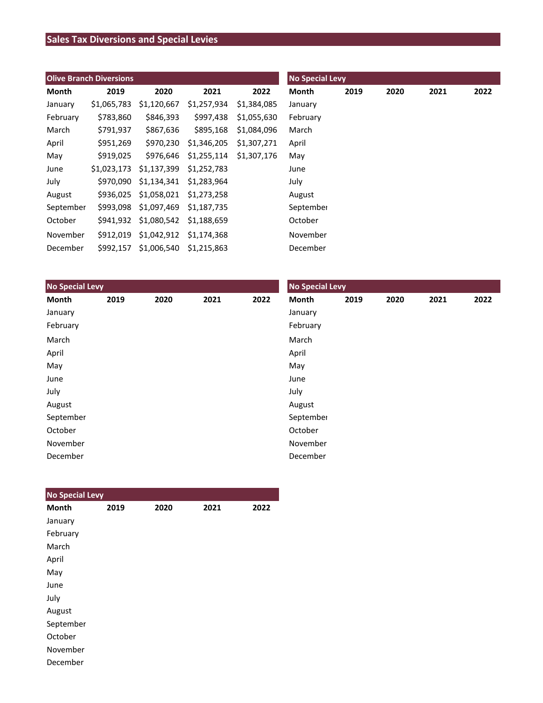# **Sales Tax Diversions and Special Levies**

| <b>Olive Branch Diversions</b> |             |                                   |             |             | <b>No Special Levy</b> |      |      |      |      |  |
|--------------------------------|-------------|-----------------------------------|-------------|-------------|------------------------|------|------|------|------|--|
| Month                          | 2019        | 2020                              | 2021        | 2022        | Month                  | 2019 | 2020 | 2021 | 2022 |  |
| January                        | \$1,065,783 | \$1,120,667                       | \$1,257,934 | \$1,384,085 | January                |      |      |      |      |  |
| February                       | \$783,860   | \$846,393                         | \$997.438   | \$1,055,630 | February               |      |      |      |      |  |
| March                          | \$791,937   | \$867,636                         | \$895,168   | \$1,084,096 | March                  |      |      |      |      |  |
| April                          | \$951,269   | \$970,230                         | \$1,346,205 | \$1,307,271 | April                  |      |      |      |      |  |
| May                            | \$919,025   | \$976.646                         | \$1,255,114 | \$1,307,176 | May                    |      |      |      |      |  |
| June                           | \$1,023,173 | \$1,137,399                       | \$1,252,783 |             | June                   |      |      |      |      |  |
| July                           |             | \$970,090 \$1,134,341 \$1,283,964 |             |             | July                   |      |      |      |      |  |
| August                         |             | \$936,025 \$1,058,021             | \$1,273,258 |             | August                 |      |      |      |      |  |
| September                      |             | \$993,098 \$1,097,469             | \$1,187,735 |             | September              |      |      |      |      |  |
| October                        |             | \$941,932 \$1,080,542             | \$1,188,659 |             | October                |      |      |      |      |  |
| November                       |             | \$912,019 \$1,042,912             | \$1,174,368 |             | November               |      |      |      |      |  |
| December                       | \$992.157   | \$1,006,540 \$1,215,863           |             |             | December               |      |      |      |      |  |

| <b>No Special Levy</b> |      |      |      |      | <b>No Special Levy</b> |      |      |      |      |  |
|------------------------|------|------|------|------|------------------------|------|------|------|------|--|
| Month                  | 2019 | 2020 | 2021 | 2022 | Month                  | 2019 | 2020 | 2021 | 2022 |  |
| January                |      |      |      |      | January                |      |      |      |      |  |
| February               |      |      |      |      | February               |      |      |      |      |  |
| March                  |      |      |      |      | March                  |      |      |      |      |  |
| April                  |      |      |      |      | April                  |      |      |      |      |  |
| May                    |      |      |      |      | May                    |      |      |      |      |  |
| June                   |      |      |      |      | June                   |      |      |      |      |  |
| July                   |      |      |      |      | July                   |      |      |      |      |  |
| August                 |      |      |      |      | August                 |      |      |      |      |  |
| September              |      |      |      |      | September              |      |      |      |      |  |
| October                |      |      |      |      | October                |      |      |      |      |  |
| November               |      |      |      |      | November               |      |      |      |      |  |
| December               |      |      |      |      | December               |      |      |      |      |  |

| <b>No Special Levy</b> |      |      |      |      |
|------------------------|------|------|------|------|
| <b>Month</b>           | 2019 | 2020 | 2021 | 2022 |
| January                |      |      |      |      |
| February               |      |      |      |      |
| March                  |      |      |      |      |
| April                  |      |      |      |      |
| May                    |      |      |      |      |
| June                   |      |      |      |      |
| July                   |      |      |      |      |
| August                 |      |      |      |      |
| September              |      |      |      |      |
| October                |      |      |      |      |
| November               |      |      |      |      |
| December               |      |      |      |      |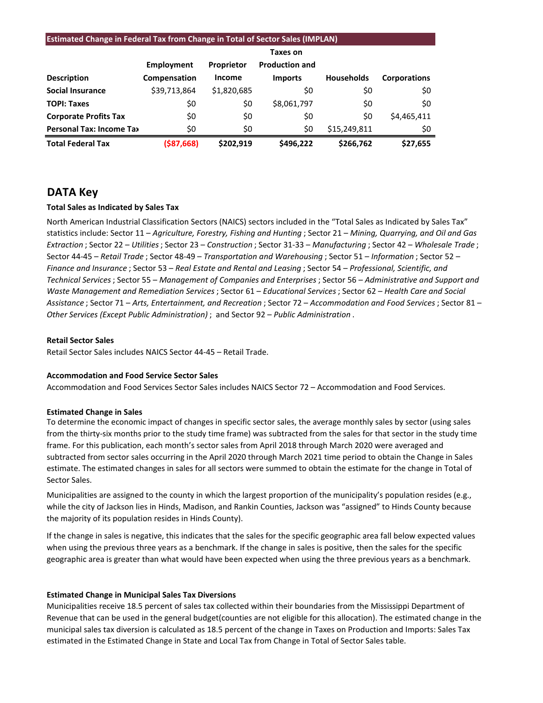| <b>Estimated Change in Federal Tax from Change in Total of Sector Sales (IMPLAN)</b> |              |                   |                       |                   |                     |  |  |  |  |
|--------------------------------------------------------------------------------------|--------------|-------------------|-----------------------|-------------------|---------------------|--|--|--|--|
|                                                                                      |              | Taxes on          |                       |                   |                     |  |  |  |  |
|                                                                                      | Employment   | <b>Proprietor</b> | <b>Production and</b> |                   |                     |  |  |  |  |
| <b>Description</b>                                                                   | Compensation | Income            | <b>Imports</b>        | <b>Households</b> | <b>Corporations</b> |  |  |  |  |
| <b>Social Insurance</b>                                                              | \$39,713,864 | \$1,820,685       | S0                    | \$0               | \$0                 |  |  |  |  |
| <b>TOPI: Taxes</b>                                                                   | \$0          | \$0               | \$8,061,797           | \$0               | \$0                 |  |  |  |  |
| <b>Corporate Profits Tax</b>                                                         | \$0          | \$0               | \$0                   | \$0               | \$4,465,411         |  |  |  |  |
| <b>Personal Tax: Income Tax</b>                                                      | \$0          | \$0               | \$0                   | \$15,249,811      | \$0                 |  |  |  |  |

**Total Federal Tax (\$87,668) \$202,919 \$496,222 \$266,762 \$27,655**

# **DATA Key**

## **Total Sales as Indicated by Sales Tax**

North American Industrial Classification Sectors (NAICS) sectors included in the "Total Sales as Indicated by Sales Tax" statistics include: Sector 11 – *Agriculture, Forestry, Fishing and Hunting* ; Sector 21 – *Mining, Quarrying, and Oil and Gas Extraction* ; Sector 22 – *Utilities*; Sector 23 – *Construction* ; Sector 31-33 – *Manufacturing* ; Sector 42 – *Wholesale Trade* ; Sector 44-45 – *Retail Trade* ; Sector 48-49 – *Transportation and Warehousing* ; Sector 51 – *Information* ; Sector 52 – *Finance and Insurance* ; Sector 53 – *Real Estate and Rental and Leasing* ; Sector 54 – *Professional, Scientific, and Technical Services*; Sector 55 – *Management of Companies and Enterprises* ; Sector 56 – *Administrative and Support and Waste Management and Remediation Services* ; Sector 61 – *Educational Services*; Sector 62 – *Health Care and Social Assistance* ; Sector 71 – *Arts, Entertainment, and Recreation* ; Sector 72 – *Accommodation and Food Services* ; Sector 81 – *Other Services (Except Public Administration)* ; and Sector 92 – *Public Administration* .

#### **Retail Sector Sales**

Retail Sector Sales includes NAICS Sector 44-45 – Retail Trade.

## **Accommodation and Food Service Sector Sales**

Accommodation and Food Services Sector Sales includes NAICS Sector 72 – Accommodation and Food Services.

## **Estimated Change in Sales**

To determine the economic impact of changes in specific sector sales, the average monthly sales by sector (using sales from the thirty-six months prior to the study time frame) was subtracted from the sales for that sector in the study time frame. For this publication, each month's sector sales from April 2018 through March 2020 were averaged and subtracted from sector sales occurring in the April 2020 through March 2021 time period to obtain the Change in Sales estimate. The estimated changes in sales for all sectors were summed to obtain the estimate for the change in Total of Sector Sales.

Municipalities are assigned to the county in which the largest proportion of the municipality's population resides (e.g., while the city of Jackson lies in Hinds, Madison, and Rankin Counties, Jackson was "assigned" to Hinds County because the majority of its population resides in Hinds County).

If the change in sales is negative, this indicates that the sales for the specific geographic area fall below expected values when using the previous three years as a benchmark. If the change in sales is positive, then the sales for the specific geographic area is greater than what would have been expected when using the three previous years as a benchmark.

## **Estimated Change in Municipal Sales Tax Diversions**

Municipalities receive 18.5 percent of sales tax collected within their boundaries from the Mississippi Department of Revenue that can be used in the general budget(counties are not eligible for this allocation). The estimated change in the municipal sales tax diversion is calculated as 18.5 percent of the change in Taxes on Production and Imports: Sales Tax estimated in the Estimated Change in State and Local Tax from Change in Total of Sector Sales table.